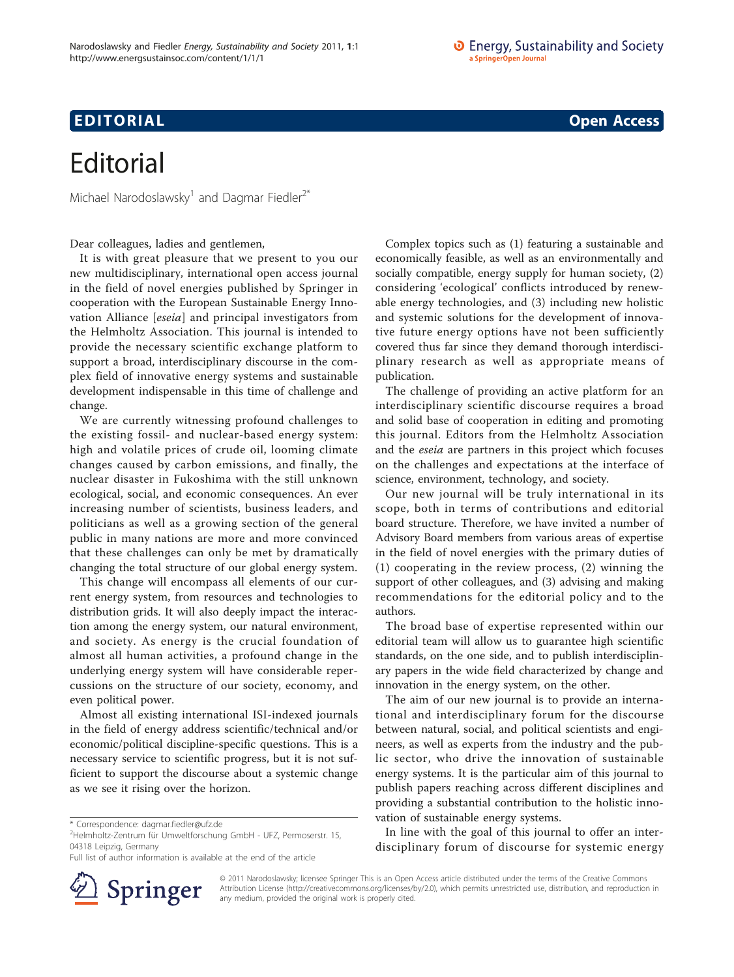## **EDITORIAL** CONTROL CONTROL CONTROL CONTROL CONTROL CONTROL CONTROL CONTROL CONTROL CONTROL CONTROL CONTROL CONTROL CONTROL CONTROL CONTROL CONTROL CONTROL CONTROL CONTROL CONTROL CONTROL CONTROL CONTROL CONTROL CONTROL CO

# **Editorial**

Michael Narodoslawsky<sup>1</sup> and Dagmar Fiedler<sup>2\*</sup>

Dear colleagues, ladies and gentlemen,

It is with great pleasure that we present to you our new multidisciplinary, international open access journal in the field of novel energies published by Springer in cooperation with the European Sustainable Energy Innovation Alliance [eseia] and principal investigators from the Helmholtz Association. This journal is intended to provide the necessary scientific exchange platform to support a broad, interdisciplinary discourse in the complex field of innovative energy systems and sustainable development indispensable in this time of challenge and change.

We are currently witnessing profound challenges to the existing fossil- and nuclear-based energy system: high and volatile prices of crude oil, looming climate changes caused by carbon emissions, and finally, the nuclear disaster in Fukoshima with the still unknown ecological, social, and economic consequences. An ever increasing number of scientists, business leaders, and politicians as well as a growing section of the general public in many nations are more and more convinced that these challenges can only be met by dramatically changing the total structure of our global energy system.

This change will encompass all elements of our current energy system, from resources and technologies to distribution grids. It will also deeply impact the interaction among the energy system, our natural environment, and society. As energy is the crucial foundation of almost all human activities, a profound change in the underlying energy system will have considerable repercussions on the structure of our society, economy, and even political power.

Almost all existing international ISI-indexed journals in the field of energy address scientific/technical and/or economic/political discipline-specific questions. This is a necessary service to scientific progress, but it is not sufficient to support the discourse about a systemic change as we see it rising over the horizon.

Full list of author information is available at the end of the article



Complex topics such as (1) featuring a sustainable and economically feasible, as well as an environmentally and socially compatible, energy supply for human society, (2) considering 'ecological' conflicts introduced by renewable energy technologies, and (3) including new holistic and systemic solutions for the development of innovative future energy options have not been sufficiently covered thus far since they demand thorough interdisciplinary research as well as appropriate means of publication.

The challenge of providing an active platform for an interdisciplinary scientific discourse requires a broad and solid base of cooperation in editing and promoting this journal. Editors from the Helmholtz Association and the eseia are partners in this project which focuses on the challenges and expectations at the interface of science, environment, technology, and society.

Our new journal will be truly international in its scope, both in terms of contributions and editorial board structure. Therefore, we have invited a number of Advisory Board members from various areas of expertise in the field of novel energies with the primary duties of (1) cooperating in the review process, (2) winning the support of other colleagues, and (3) advising and making recommendations for the editorial policy and to the authors.

The broad base of expertise represented within our editorial team will allow us to guarantee high scientific standards, on the one side, and to publish interdisciplinary papers in the wide field characterized by change and innovation in the energy system, on the other.

The aim of our new journal is to provide an international and interdisciplinary forum for the discourse between natural, social, and political scientists and engineers, as well as experts from the industry and the public sector, who drive the innovation of sustainable energy systems. It is the particular aim of this journal to publish papers reaching across different disciplines and providing a substantial contribution to the holistic innovation of sustainable energy systems.

In line with the goal of this journal to offer an interdisciplinary forum of discourse for systemic energy

© 2011 Narodoslawsky; licensee Springer This is an Open Access article distributed under the terms of the Creative Commons Attribution License [\(http://creativecommons.org/licenses/by/2.0](http://creativecommons.org/licenses/by/2.0)), which permits unrestricted use, distribution, and reproduction in any medium, provided the original work is properly cited.

<sup>\*</sup> Correspondence: [dagmar.fiedler@ufz.de](mailto:dagmar.fiedler@ufz.de)

<sup>2</sup> Helmholtz-Zentrum für Umweltforschung GmbH - UFZ, Permoserstr. 15, 04318 Leipzig, Germany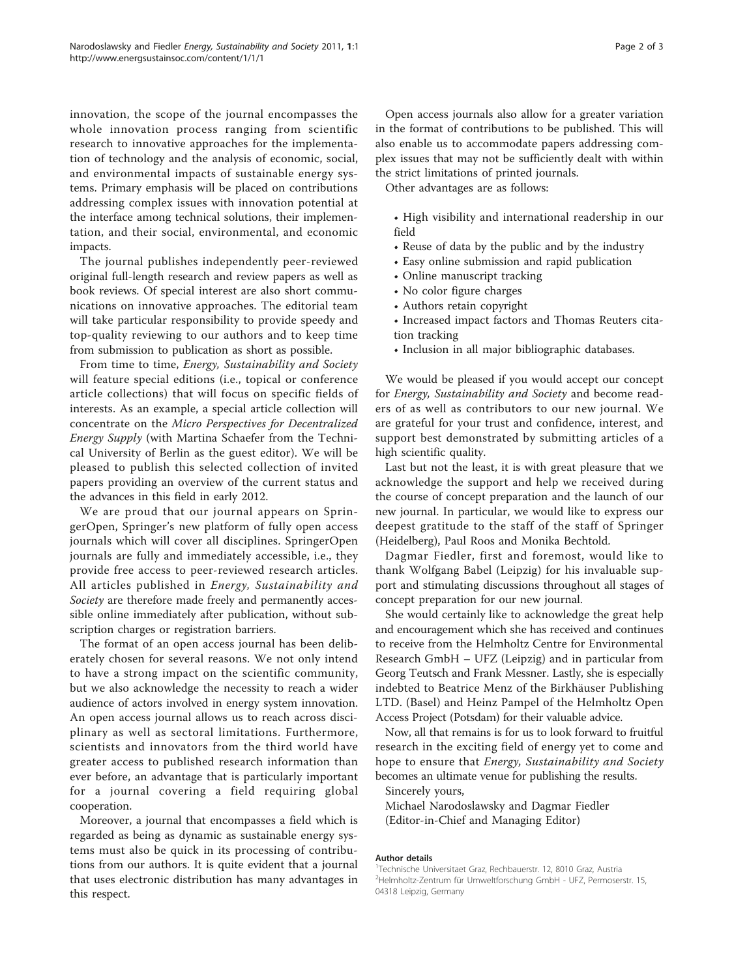innovation, the scope of the journal encompasses the whole innovation process ranging from scientific research to innovative approaches for the implementation of technology and the analysis of economic, social, and environmental impacts of sustainable energy systems. Primary emphasis will be placed on contributions addressing complex issues with innovation potential at the interface among technical solutions, their implementation, and their social, environmental, and economic impacts.

The journal publishes independently peer-reviewed original full-length research and review papers as well as book reviews. Of special interest are also short communications on innovative approaches. The editorial team will take particular responsibility to provide speedy and top-quality reviewing to our authors and to keep time from submission to publication as short as possible.

From time to time, Energy, Sustainability and Society will feature special editions (i.e., topical or conference article collections) that will focus on specific fields of interests. As an example, a special article collection will concentrate on the Micro Perspectives for Decentralized Energy Supply (with Martina Schaefer from the Technical University of Berlin as the guest editor). We will be pleased to publish this selected collection of invited papers providing an overview of the current status and the advances in this field in early 2012.

We are proud that our journal appears on SpringerOpen, Springer's new platform of fully open access journals which will cover all disciplines. SpringerOpen journals are fully and immediately accessible, i.e., they provide free access to peer-reviewed research articles. All articles published in Energy, Sustainability and Society are therefore made freely and permanently accessible online immediately after publication, without subscription charges or registration barriers.

The format of an open access journal has been deliberately chosen for several reasons. We not only intend to have a strong impact on the scientific community, but we also acknowledge the necessity to reach a wider audience of actors involved in energy system innovation. An open access journal allows us to reach across disciplinary as well as sectoral limitations. Furthermore, scientists and innovators from the third world have greater access to published research information than ever before, an advantage that is particularly important for a journal covering a field requiring global cooperation.

Moreover, a journal that encompasses a field which is regarded as being as dynamic as sustainable energy systems must also be quick in its processing of contributions from our authors. It is quite evident that a journal that uses electronic distribution has many advantages in this respect.

Open access journals also allow for a greater variation in the format of contributions to be published. This will also enable us to accommodate papers addressing complex issues that may not be sufficiently dealt with within the strict limitations of printed journals.

Other advantages are as follows:

• High visibility and international readership in our field

- Reuse of data by the public and by the industry
- Easy online submission and rapid publication
- Online manuscript tracking
- No color figure charges
- Authors retain copyright
- Increased impact factors and Thomas Reuters citation tracking
- Inclusion in all major bibliographic databases.

We would be pleased if you would accept our concept for Energy, Sustainability and Society and become readers of as well as contributors to our new journal. We are grateful for your trust and confidence, interest, and support best demonstrated by submitting articles of a high scientific quality.

Last but not the least, it is with great pleasure that we acknowledge the support and help we received during the course of concept preparation and the launch of our new journal. In particular, we would like to express our deepest gratitude to the staff of the staff of Springer (Heidelberg), Paul Roos and Monika Bechtold.

Dagmar Fiedler, first and foremost, would like to thank Wolfgang Babel (Leipzig) for his invaluable support and stimulating discussions throughout all stages of concept preparation for our new journal.

She would certainly like to acknowledge the great help and encouragement which she has received and continues to receive from the Helmholtz Centre for Environmental Research GmbH – UFZ (Leipzig) and in particular from Georg Teutsch and Frank Messner. Lastly, she is especially indebted to Beatrice Menz of the Birkhäuser Publishing LTD. (Basel) and Heinz Pampel of the Helmholtz Open Access Project (Potsdam) for their valuable advice.

Now, all that remains is for us to look forward to fruitful research in the exciting field of energy yet to come and hope to ensure that Energy, Sustainability and Society becomes an ultimate venue for publishing the results.

Sincerely yours,

Michael Narodoslawsky and Dagmar Fiedler (Editor-in-Chief and Managing Editor)

### Author details

<sup>&</sup>lt;sup>1</sup>Technische Universitaet Graz, Rechbauerstr. 12, 8010 Graz, Austria <sup>2</sup>Helmholtz-Zentrum für Umweltforschung GmbH - UFZ, Permoserstr. 15, 04318 Leipzig, Germany